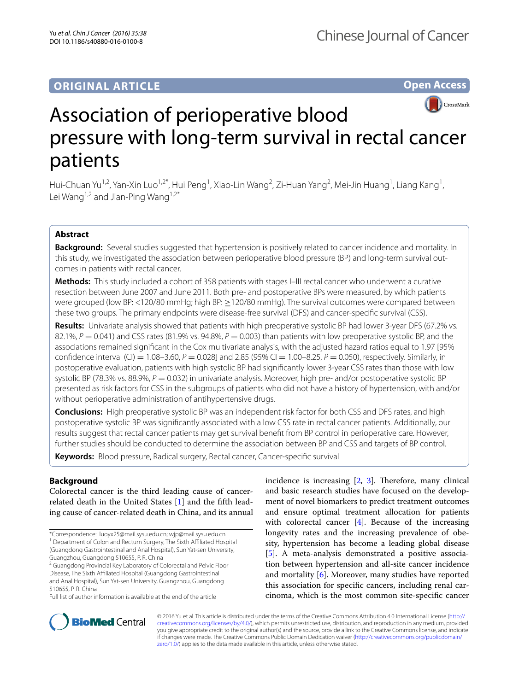# **ORIGINAL ARTICLE**

# **Open Access**



# Association of perioperative blood pressure with long-term survival in rectal cancer patients

Hui-Chuan Yu<sup>1,2</sup>, Yan-Xin Luo<sup>1,2\*</sup>, Hui Peng<sup>1</sup>, Xiao-Lin Wang<sup>2</sup>, Zi-Huan Yang<sup>2</sup>, Mei-Jin Huang<sup>1</sup>, Liang Kang<sup>1</sup>, Lei Wang<sup>1,2</sup> and Jian-Ping Wang<sup>1,2\*</sup>

# **Abstract**

**Background:** Several studies suggested that hypertension is positively related to cancer incidence and mortality. In this study, we investigated the association between perioperative blood pressure (BP) and long-term survival outcomes in patients with rectal cancer.

**Methods:** This study included a cohort of 358 patients with stages I–III rectal cancer who underwent a curative resection between June 2007 and June 2011. Both pre- and postoperative BPs were measured, by which patients were grouped (low BP: <120/80 mmHg; high BP: ≥120/80 mmHg). The survival outcomes were compared between these two groups. The primary endpoints were disease-free survival (DFS) and cancer-specific survival (CSS).

**Results:** Univariate analysis showed that patients with high preoperative systolic BP had lower 3-year DFS (67.2% vs. 82.1%,  $P = 0.041$  and CSS rates (81.9% vs. 94.8%,  $P = 0.003$ ) than patients with low preoperative systolic BP, and the associations remained significant in the Cox multivariate analysis, with the adjusted hazard ratios equal to 1.97 [95% confidence interval (CI) = 1.08–3.60, *P* = 0.028] and 2.85 (95% CI = 1.00–8.25, *P* = 0.050), respectively. Similarly, in postoperative evaluation, patients with high systolic BP had significantly lower 3-year CSS rates than those with low systolic BP (78.3% vs. 88.9%,  $P = 0.032$ ) in univariate analysis. Moreover, high pre- and/or postoperative systolic BP presented as risk factors for CSS in the subgroups of patients who did not have a history of hypertension, with and/or without perioperative administration of antihypertensive drugs.

**Conclusions:** High preoperative systolic BP was an independent risk factor for both CSS and DFS rates, and high postoperative systolic BP was significantly associated with a low CSS rate in rectal cancer patients. Additionally, our results suggest that rectal cancer patients may get survival benefit from BP control in perioperative care. However, further studies should be conducted to determine the association between BP and CSS and targets of BP control.

**Keywords:** Blood pressure, Radical surgery, Rectal cancer, Cancer-specific survival

# **Background**

Colorectal cancer is the third leading cause of cancerrelated death in the United States [[1\]](#page-8-0) and the fifth leading cause of cancer-related death in China, and its annual

\*Correspondence: luoyx25@mail.sysu.edu.cn; wjp@mail.sysu.edu.cn

<sup>1</sup> Department of Colon and Rectum Surgery, The Sixth Affiliated Hospital (Guangdong Gastrointestinal and Anal Hospital), Sun Yat-sen University, Guangzhou, Guangdong 510655, P. R. China

<sup>2</sup> Guangdong Provincial Key Laboratory of Colorectal and Pelvic Floor Disease, The Sixth Affiliated Hospital (Guangdong Gastrointestinal and Anal Hospital), Sun Yat-sen University, Guangzhou, Guangdong 510655, P. R. China

incidence is increasing [\[2](#page-8-1), [3\]](#page-8-2). Therefore, many clinical and basic research studies have focused on the development of novel biomarkers to predict treatment outcomes and ensure optimal treatment allocation for patients with colorectal cancer [[4\]](#page-8-3). Because of the increasing longevity rates and the increasing prevalence of obesity, hypertension has become a leading global disease [[5\]](#page-8-4). A meta-analysis demonstrated a positive association between hypertension and all-site cancer incidence and mortality [[6\]](#page-8-5). Moreover, many studies have reported this association for specific cancers, including renal carcinoma, which is the most common site-specific cancer



© 2016 Yu et al. This article is distributed under the terms of the Creative Commons Attribution 4.0 International License ([http://](http://creativecommons.org/licenses/by/4.0/) [creativecommons.org/licenses/by/4.0/](http://creativecommons.org/licenses/by/4.0/)), which permits unrestricted use, distribution, and reproduction in any medium, provided you give appropriate credit to the original author(s) and the source, provide a link to the Creative Commons license, and indicate if changes were made. The Creative Commons Public Domain Dedication waiver ([http://creativecommons.org/publicdomain/](http://creativecommons.org/publicdomain/zero/1.0/) [zero/1.0/](http://creativecommons.org/publicdomain/zero/1.0/)) applies to the data made available in this article, unless otherwise stated.

Full list of author information is available at the end of the article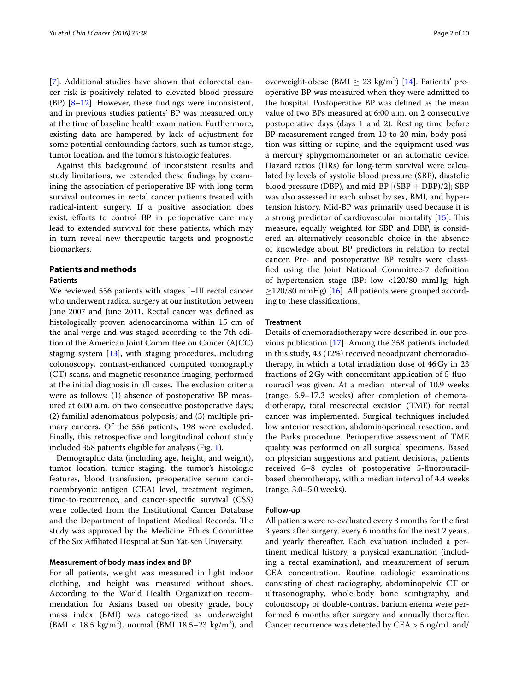[[7\]](#page-9-0). Additional studies have shown that colorectal cancer risk is positively related to elevated blood pressure  $(BP)$   $[8-12]$  $[8-12]$ . However, these findings were inconsistent, and in previous studies patients' BP was measured only at the time of baseline health examination. Furthermore, existing data are hampered by lack of adjustment for some potential confounding factors, such as tumor stage, tumor location, and the tumor's histologic features.

Against this background of inconsistent results and study limitations, we extended these findings by examining the association of perioperative BP with long-term survival outcomes in rectal cancer patients treated with radical-intent surgery. If a positive association does exist, efforts to control BP in perioperative care may lead to extended survival for these patients, which may in turn reveal new therapeutic targets and prognostic biomarkers.

#### **Patients and methods**

#### **Patients**

We reviewed 556 patients with stages I–III rectal cancer who underwent radical surgery at our institution between June 2007 and June 2011. Rectal cancer was defined as histologically proven adenocarcinoma within 15 cm of the anal verge and was staged according to the 7th edition of the American Joint Committee on Cancer (AJCC) staging system [\[13\]](#page-9-3), with staging procedures, including colonoscopy, contrast-enhanced computed tomography (CT) scans, and magnetic resonance imaging, performed at the initial diagnosis in all cases. The exclusion criteria were as follows: (1) absence of postoperative BP measured at 6:00 a.m. on two consecutive postoperative days; (2) familial adenomatous polyposis; and (3) multiple primary cancers. Of the 556 patients, 198 were excluded. Finally, this retrospective and longitudinal cohort study included 358 patients eligible for analysis (Fig. [1](#page-2-0)).

Demographic data (including age, height, and weight), tumor location, tumor staging, the tumor's histologic features, blood transfusion, preoperative serum carcinoembryonic antigen (CEA) level, treatment regimen, time-to-recurrence, and cancer-specific survival (CSS) were collected from the Institutional Cancer Database and the Department of Inpatient Medical Records. The study was approved by the Medicine Ethics Committee of the Six Affiliated Hospital at Sun Yat-sen University.

#### **Measurement of body mass index and BP**

For all patients, weight was measured in light indoor clothing, and height was measured without shoes. According to the World Health Organization recommendation for Asians based on obesity grade, body mass index (BMI) was categorized as underweight  $(BMI < 18.5 \text{ kg/m}^2)$ , normal (BMI 18.5–23 kg/m<sup>2</sup>), and

overweight-obese (BMI  $\geq 23$  kg/m<sup>2</sup>) [\[14](#page-9-4)]. Patients' preoperative BP was measured when they were admitted to the hospital. Postoperative BP was defined as the mean value of two BPs measured at 6:00 a.m. on 2 consecutive postoperative days (days 1 and 2). Resting time before BP measurement ranged from 10 to 20 min, body position was sitting or supine, and the equipment used was a mercury sphygmomanometer or an automatic device. Hazard ratios (HRs) for long-term survival were calculated by levels of systolic blood pressure (SBP), diastolic blood pressure (DBP), and mid-BP  $[(SBP + DBP)/2]$ ; SBP was also assessed in each subset by sex, BMI, and hypertension history. Mid-BP was primarily used because it is a strong predictor of cardiovascular mortality [\[15](#page-9-5)]. This measure, equally weighted for SBP and DBP, is considered an alternatively reasonable choice in the absence of knowledge about BP predictors in relation to rectal cancer. Pre- and postoperative BP results were classified using the Joint National Committee-7 definition of hypertension stage (BP: low <120/80 mmHg; high  $\geq$ 120/80 mmHg) [[16\]](#page-9-6). All patients were grouped according to these classifications.

#### **Treatment**

Details of chemoradiotherapy were described in our previous publication [[17\]](#page-9-7). Among the 358 patients included in this study, 43 (12%) received neoadjuvant chemoradiotherapy, in which a total irradiation dose of 46Gy in 23 fractions of 2Gy with concomitant application of 5-fluorouracil was given. At a median interval of 10.9 weeks (range, 6.9–17.3 weeks) after completion of chemoradiotherapy, total mesorectal excision (TME) for rectal cancer was implemented. Surgical techniques included low anterior resection, abdominoperineal resection, and the Parks procedure. Perioperative assessment of TME quality was performed on all surgical specimens. Based on physician suggestions and patient decisions, patients received 6–8 cycles of postoperative 5-fluorouracilbased chemotherapy, with a median interval of 4.4 weeks (range, 3.0–5.0 weeks).

#### **Follow‑up**

All patients were re-evaluated every 3 months for the first 3 years after surgery, every 6 months for the next 2 years, and yearly thereafter. Each evaluation included a pertinent medical history, a physical examination (including a rectal examination), and measurement of serum CEA concentration. Routine radiologic examinations consisting of chest radiography, abdominopelvic CT or ultrasonography, whole-body bone scintigraphy, and colonoscopy or double-contrast barium enema were performed 6 months after surgery and annually thereafter. Cancer recurrence was detected by CEA > 5 ng/mL and/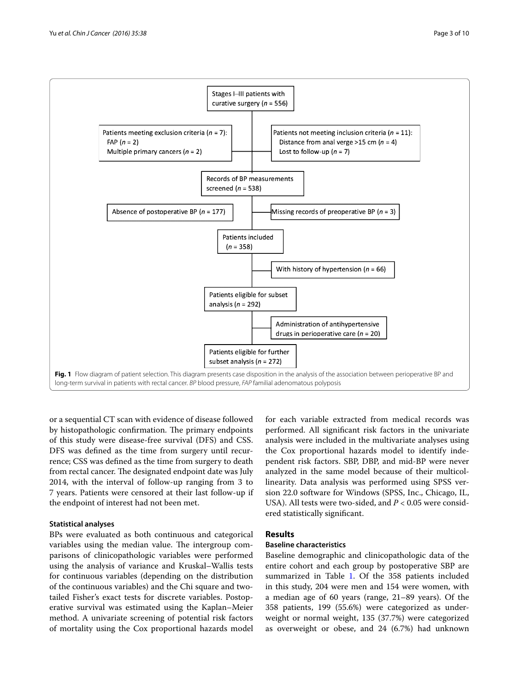

<span id="page-2-0"></span>or a sequential CT scan with evidence of disease followed by histopathologic confirmation. The primary endpoints of this study were disease-free survival (DFS) and CSS. DFS was defined as the time from surgery until recurrence; CSS was defined as the time from surgery to death from rectal cancer. The designated endpoint date was July 2014, with the interval of follow-up ranging from 3 to 7 years. Patients were censored at their last follow-up if the endpoint of interest had not been met.

#### **Statistical analyses**

BPs were evaluated as both continuous and categorical variables using the median value. The intergroup comparisons of clinicopathologic variables were performed using the analysis of variance and Kruskal–Wallis tests for continuous variables (depending on the distribution of the continuous variables) and the Chi square and twotailed Fisher's exact tests for discrete variables. Postoperative survival was estimated using the Kaplan–Meier method. A univariate screening of potential risk factors of mortality using the Cox proportional hazards model

for each variable extracted from medical records was performed. All significant risk factors in the univariate analysis were included in the multivariate analyses using the Cox proportional hazards model to identify independent risk factors. SBP, DBP, and mid-BP were never analyzed in the same model because of their multicollinearity. Data analysis was performed using SPSS version 22.0 software for Windows (SPSS, Inc., Chicago, IL, USA). All tests were two-sided, and *P* < 0.05 were considered statistically significant.

## **Results**

#### **Baseline characteristics**

Baseline demographic and clinicopathologic data of the entire cohort and each group by postoperative SBP are summarized in Table [1](#page-3-0). Of the 358 patients included in this study, 204 were men and 154 were women, with a median age of 60 years (range, 21–89 years). Of the 358 patients, 199 (55.6%) were categorized as underweight or normal weight, 135 (37.7%) were categorized as overweight or obese, and 24 (6.7%) had unknown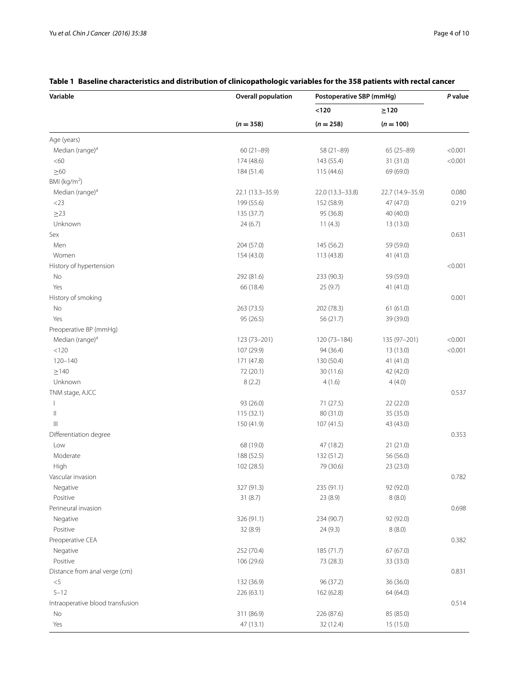| Variable                         | <b>Overall population</b> | Postoperative SBP (mmHg) |                  | P value |
|----------------------------------|---------------------------|--------------------------|------------------|---------|
|                                  |                           | $<120$                   | $\geq$ 120       |         |
|                                  | $(n = 358)$               | $(n = 258)$              | $(n = 100)$      |         |
| Age (years)                      |                           |                          |                  |         |
| Median (range) <sup>a</sup>      | 60 (21-89)                | 58 (21-89)               | 65 (25-89)       | < 0.001 |
| <60                              | 174 (48.6)                | 143 (55.4)               | 31 (31.0)        | < 0.001 |
| $\geq 60$                        | 184 (51.4)                | 115 (44.6)               | 69 (69.0)        |         |
| BMI ( $kg/m2$ )                  |                           |                          |                  |         |
| Median (range) <sup>a</sup>      | 22.1 (13.3-35.9)          | 22.0 (13.3-33.8)         | 22.7 (14.9-35.9) | 0.080   |
| $<$ 23                           | 199 (55.6)                | 152 (58.9)               | 47 (47.0)        | 0.219   |
| $\geq$ 23                        | 135 (37.7)                | 95 (36.8)                | 40 (40.0)        |         |
| Unknown                          | 24(6.7)                   | 11(4.3)                  | 13 (13.0)        |         |
| Sex                              |                           |                          |                  | 0.631   |
| Men                              | 204 (57.0)                | 145 (56.2)               | 59 (59.0)        |         |
| Women                            | 154 (43.0)                | 113 (43.8)               | 41 (41.0)        |         |
| History of hypertension          |                           |                          |                  | < 0.001 |
| No                               | 292 (81.6)                | 233 (90.3)               | 59 (59.0)        |         |
| Yes                              | 66 (18.4)                 | 25 (9.7)                 | 41 (41.0)        |         |
| History of smoking               |                           |                          |                  | 0.001   |
| No                               | 263 (73.5)                | 202 (78.3)               | 61(61.0)         |         |
| Yes                              | 95 (26.5)                 | 56 (21.7)                | 39 (39.0)        |         |
| Preoperative BP (mmHg)           |                           |                          |                  |         |
| Median (range) <sup>a</sup>      | 123 (73-201)              | 120 (73-184)             | 135 (97-201)     | < 0.001 |
| < 120                            | 107 (29.9)                | 94 (36.4)                | 13 (13.0)        | < 0.001 |
| $120 - 140$                      | 171 (47.8)                | 130 (50.4)               | 41 (41.0)        |         |
| $\geq$ 140                       | 72 (20.1)                 | 30(11.6)                 | 42 (42.0)        |         |
| Unknown                          | 8(2.2)                    | 4(1.6)                   | 4(4.0)           |         |
| TNM stage, AJCC                  |                           |                          |                  | 0.537   |
| $\mathbf{I}$                     | 93 (26.0)                 | 71 (27.5)                | 22 (22.0)        |         |
| Ш                                | 115 (32.1)                | 80 (31.0)                | 35 (35.0)        |         |
| $\mathbb{H}$                     | 150 (41.9)                | 107(41.5)                | 43 (43.0)        |         |
| Differentiation degree           |                           |                          |                  | 0.353   |
| Low                              | 68 (19.0)                 | 47 (18.2)                | 21(21.0)         |         |
| Moderate                         | 188 (52.5)                | 132 (51.2)               | 56 (56.0)        |         |
| High                             | 102 (28.5)                | 79 (30.6)                | 23 (23.0)        |         |
| Vascular invasion                |                           |                          |                  | 0.782   |
| Negative                         | 327 (91.3)                | 235 (91.1)               | 92 (92.0)        |         |
| Positive                         | 31 (8.7)                  | 23 (8.9)                 | 8(8.0)           |         |
| Perineural invasion              |                           |                          |                  | 0.698   |
| Negative                         | 326 (91.1)                | 234 (90.7)               | 92 (92.0)        |         |
| Positive                         | 32 (8.9)                  | 24 (9.3)                 | 8(8.0)           |         |
|                                  |                           |                          |                  |         |
| Preoperative CEA                 |                           |                          |                  | 0.382   |
| Negative                         | 252 (70.4)                | 185 (71.7)               | 67 (67.0)        |         |
| Positive                         | 106 (29.6)                | 73 (28.3)                | 33 (33.0)        |         |
| Distance from anal verge (cm)    |                           |                          |                  | 0.831   |
| $<$ 5                            | 132 (36.9)                | 96 (37.2)                | 36 (36.0)        |         |
| $5 - 12$                         | 226 (63.1)                | 162 (62.8)               | 64 (64.0)        |         |
| Intraoperative blood transfusion |                           |                          |                  | 0.514   |
| No                               | 311 (86.9)                | 226 (87.6)               | 85 (85.0)        |         |
| Yes                              | 47 (13.1)                 | 32 (12.4)                | 15 (15.0)        |         |

### <span id="page-3-0"></span>**Table 1 Baseline characteristics and distribution of clinicopathologic variables for the 358 patients with rectal cancer**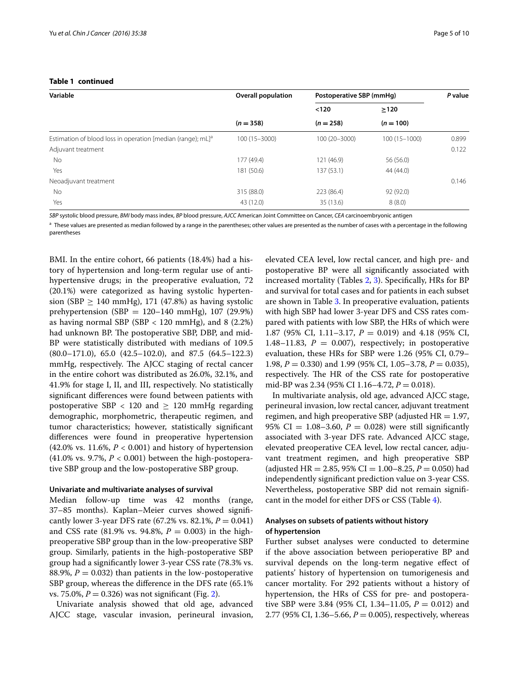| Variable                                                                | <b>Overall population</b> | Postoperative SBP (mmHg) |                  | P value |
|-------------------------------------------------------------------------|---------------------------|--------------------------|------------------|---------|
|                                                                         |                           | < 120                    | >120             |         |
|                                                                         | $(n = 358)$               | $(n = 258)$              | $(n = 100)$      |         |
| Estimation of blood loss in operation [median (range); mL] <sup>a</sup> | 100 (15 - 3000)           | 100 (20-3000)            | $100(15 - 1000)$ | 0.899   |
| Adjuvant treatment                                                      |                           |                          |                  | 0.122   |
| No                                                                      | 177 (49.4)                | 121 (46.9)               | 56 (56.0)        |         |
| Yes                                                                     | 181 (50.6)                | 137(53.1)                | 44 (44.0)        |         |
| Neoadjuvant treatment                                                   |                           |                          |                  | 0.146   |
| No                                                                      | 315 (88.0)                | 223 (86.4)               | 92 (92.0)        |         |
| Yes                                                                     | 43 (12.0)                 | 35 (13.6)                | 8(8.0)           |         |

#### **Table 1 continued**

*SBP* systolic blood pressure, *BMI* body mass index, *BP* blood pressure, *AJCC* American Joint Committee on Cancer, *CEA* carcinoembryonic antigen

<sup>a</sup> These values are presented as median followed by a range in the parentheses; other values are presented as the number of cases with a percentage in the following parentheses

BMI. In the entire cohort, 66 patients (18.4%) had a history of hypertension and long-term regular use of antihypertensive drugs; in the preoperative evaluation, 72 (20.1%) were categorized as having systolic hypertension (SBP  $> 140$  mmHg), 171 (47.8%) as having systolic prehypertension (SBP =  $120-140$  mmHg), 107 (29.9%) as having normal SBP (SBP  $<$  120 mmHg), and 8 (2.2%) had unknown BP. The postoperative SBP, DBP, and mid-BP were statistically distributed with medians of 109.5 (80.0–171.0), 65.0 (42.5–102.0), and 87.5 (64.5–122.3) mmHg, respectively. The AJCC staging of rectal cancer in the entire cohort was distributed as 26.0%, 32.1%, and 41.9% for stage I, II, and III, respectively. No statistically significant differences were found between patients with postoperative SBP  $<$  120 and  $\geq$  120 mmHg regarding demographic, morphometric, therapeutic regimen, and tumor characteristics; however, statistically significant differences were found in preoperative hypertension (42.0% vs. 11.6%, *P* < 0.001) and history of hypertension (41.0% vs. 9.7%, *P* < 0.001) between the high-postoperative SBP group and the low-postoperative SBP group.

#### **Univariate and multivariate analyses of survival**

Median follow-up time was 42 months (range, 37–85 months). Kaplan–Meier curves showed significantly lower 3-year DFS rate  $(67.2\% \text{ vs. } 82.1\%, P = 0.041)$ and CSS rate (81.9% vs. 94.8%,  $P = 0.003$ ) in the highpreoperative SBP group than in the low-preoperative SBP group. Similarly, patients in the high-postoperative SBP group had a significantly lower 3-year CSS rate (78.3% vs. 88.9%,  $P = 0.032$ ) than patients in the low-postoperative SBP group, whereas the difference in the DFS rate (65.1% vs. 75.0%,  $P = 0.326$ ) was not significant (Fig. [2](#page-5-0)).

Univariate analysis showed that old age, advanced AJCC stage, vascular invasion, perineural invasion,

elevated CEA level, low rectal cancer, and high pre- and postoperative BP were all significantly associated with increased mortality (Tables [2](#page-6-0), [3\)](#page-7-0). Specifically, HRs for BP and survival for total cases and for patients in each subset are shown in Table [3](#page-7-0). In preoperative evaluation, patients with high SBP had lower 3-year DFS and CSS rates compared with patients with low SBP, the HRs of which were 1.87 (95% CI, 1.11–3.17, *P* = 0.019) and 4.18 (95% CI, 1.48–11.83,  $P = 0.007$ , respectively; in postoperative evaluation, these HRs for SBP were 1.26 (95% CI, 0.79– 1.98, *P* = 0.330) and 1.99 (95% CI, 1.05–3.78, *P* = 0.035), respectively. The HR of the CSS rate for postoperative mid-BP was 2.34 (95% CI 1.16–4.72, *P* = 0.018).

In multivariate analysis, old age, advanced AJCC stage, perineural invasion, low rectal cancer, adjuvant treatment regimen, and high preoperative SBP (adjusted  $HR = 1.97$ , 95% CI =  $1.08 - 3.60$ ,  $P = 0.028$ ) were still significantly associated with 3-year DFS rate. Advanced AJCC stage, elevated preoperative CEA level, low rectal cancer, adjuvant treatment regimen, and high preoperative SBP (adjusted HR = 2.85, 95% CI = 1.00–8.25,  $P = 0.050$ ) had independently significant prediction value on 3-year CSS. Nevertheless, postoperative SBP did not remain significant in the model for either DFS or CSS (Table [4\)](#page-8-6).

#### **Analyses on subsets of patients without history of hypertension**

Further subset analyses were conducted to determine if the above association between perioperative BP and survival depends on the long-term negative effect of patients' history of hypertension on tumorigenesis and cancer mortality. For 292 patients without a history of hypertension, the HRs of CSS for pre- and postoperative SBP were 3.84 (95% CI, 1.34–11.05,  $P = 0.012$ ) and 2.77 (95% CI, 1.36–5.66,  $P = 0.005$ ), respectively, whereas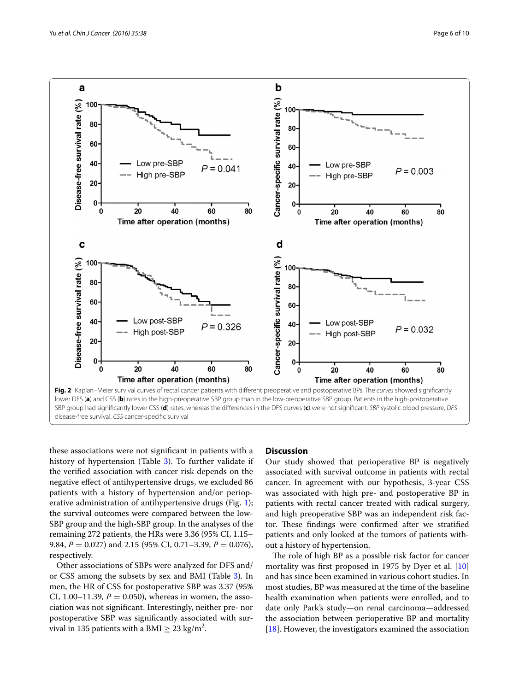

<span id="page-5-0"></span>disease-free survival, *CSS* cancer-specific survival

these associations were not significant in patients with a history of hypertension (Table [3\)](#page-7-0). To further validate if the verified association with cancer risk depends on the negative effect of antihypertensive drugs, we excluded 86 patients with a history of hypertension and/or perioperative administration of antihypertensive drugs (Fig. [1](#page-2-0)); the survival outcomes were compared between the low-SBP group and the high-SBP group. In the analyses of the remaining 272 patients, the HRs were 3.36 (95% CI, 1.15– 9.84, *P* = 0.027) and 2.15 (95% CI, 0.71–3.39, *P* = 0.076), respectively.

Other associations of SBPs were analyzed for DFS and/ or CSS among the subsets by sex and BMI (Table [3](#page-7-0)). In men, the HR of CSS for postoperative SBP was 3.37 (95% CI, 1.00–11.39,  $P = 0.050$ ), whereas in women, the association was not significant. Interestingly, neither pre- nor postoperative SBP was significantly associated with survival in 135 patients with a BMI  $\geq 23$  kg/m<sup>2</sup>.

#### **Discussion**

Our study showed that perioperative BP is negatively associated with survival outcome in patients with rectal cancer. In agreement with our hypothesis, 3-year CSS was associated with high pre- and postoperative BP in patients with rectal cancer treated with radical surgery, and high preoperative SBP was an independent risk factor. These findings were confirmed after we stratified patients and only looked at the tumors of patients without a history of hypertension.

The role of high BP as a possible risk factor for cancer mortality was first proposed in 1975 by Dyer et al. [[10](#page-9-8)] and has since been examined in various cohort studies. In most studies, BP was measured at the time of the baseline health examination when patients were enrolled, and to date only Park's study—on renal carcinoma—addressed the association between perioperative BP and mortality [[18\]](#page-9-9). However, the investigators examined the association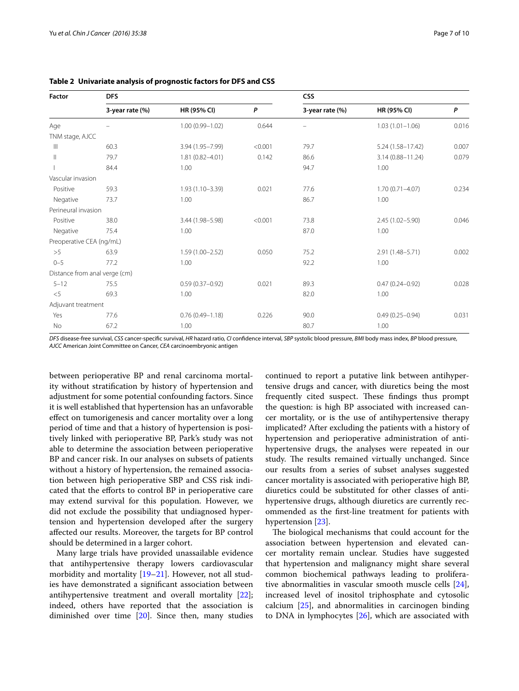| Factor                   | <b>DFS</b>                    |                     |         | <b>CSS</b>      |                     |       |
|--------------------------|-------------------------------|---------------------|---------|-----------------|---------------------|-------|
|                          | 3-year rate (%)               | HR (95% CI)         | P       | 3-year rate (%) | HR (95% CI)         | P     |
| Age                      |                               | $1.00(0.99 - 1.02)$ | 0.644   |                 | $1.03(1.01 - 1.06)$ | 0.016 |
| TNM stage, AJCC          |                               |                     |         |                 |                     |       |
| $\mathbb{H}$             | 60.3                          | 3.94 (1.95-7.99)    | < 0.001 | 79.7            | 5.24 (1.58-17.42)   | 0.007 |
| $\mathsf{II}$            | 79.7                          | $1.81(0.82 - 4.01)$ | 0.142   | 86.6            | 3.14 (0.88-11.24)   | 0.079 |
|                          | 84.4                          | 1.00                |         | 94.7            | 1.00                |       |
| Vascular invasion        |                               |                     |         |                 |                     |       |
| Positive                 | 59.3                          | $1.93(1.10 - 3.39)$ | 0.021   | 77.6            | $1.70(0.71 - 4.07)$ | 0.234 |
| Negative                 | 73.7                          | 1.00                |         | 86.7            | 1.00                |       |
| Perineural invasion      |                               |                     |         |                 |                     |       |
| Positive                 | 38.0                          | 3.44 (1.98-5.98)    | < 0.001 | 73.8            | 2.45 (1.02-5.90)    | 0.046 |
| Negative                 | 75.4                          | 1.00                |         | 87.0            | 1.00                |       |
| Preoperative CEA (ng/mL) |                               |                     |         |                 |                     |       |
| >5                       | 63.9                          | $1.59(1.00 - 2.52)$ | 0.050   | 75.2            | 2.91 (1.48-5.71)    | 0.002 |
| $0 - 5$                  | 77.2                          | 1.00                |         | 92.2            | 1.00                |       |
|                          | Distance from anal verge (cm) |                     |         |                 |                     |       |
| $5 - 12$                 | 75.5                          | $0.59(0.37 - 0.92)$ | 0.021   | 89.3            | $0.47(0.24 - 0.92)$ | 0.028 |
| $<$ 5                    | 69.3                          | 1.00                |         | 82.0            | 1.00                |       |
| Adjuvant treatment       |                               |                     |         |                 |                     |       |
| Yes                      | 77.6                          | $0.76(0.49 - 1.18)$ | 0.226   | 90.0            | $0.49(0.25 - 0.94)$ | 0.031 |
| No                       | 67.2                          | 1.00                |         | 80.7            | 1.00                |       |

<span id="page-6-0"></span>**Table 2 Univariate analysis of prognostic factors for DFS and CSS**

*DFS* disease-free survival, *CSS* cancer-specific survival, *HR* hazard ratio, *CI* confidence interval, *SBP* systolic blood pressure, *BMI* body mass index, *BP* blood pressure, *AJCC* American Joint Committee on Cancer, *CEA* carcinoembryonic antigen

between perioperative BP and renal carcinoma mortality without stratification by history of hypertension and adjustment for some potential confounding factors. Since it is well established that hypertension has an unfavorable effect on tumorigenesis and cancer mortality over a long period of time and that a history of hypertension is positively linked with perioperative BP, Park's study was not able to determine the association between perioperative BP and cancer risk. In our analyses on subsets of patients without a history of hypertension, the remained association between high perioperative SBP and CSS risk indicated that the efforts to control BP in perioperative care may extend survival for this population. However, we did not exclude the possibility that undiagnosed hypertension and hypertension developed after the surgery affected our results. Moreover, the targets for BP control should be determined in a larger cohort.

Many large trials have provided unassailable evidence that antihypertensive therapy lowers cardiovascular morbidity and mortality [\[19](#page-9-10)[–21\]](#page-9-11). However, not all studies have demonstrated a significant association between antihypertensive treatment and overall mortality [\[22](#page-9-12)]; indeed, others have reported that the association is diminished over time [\[20\]](#page-9-13). Since then, many studies continued to report a putative link between antihypertensive drugs and cancer, with diuretics being the most frequently cited suspect. These findings thus prompt the question: is high BP associated with increased cancer mortality, or is the use of antihypertensive therapy implicated? After excluding the patients with a history of hypertension and perioperative administration of antihypertensive drugs, the analyses were repeated in our study. The results remained virtually unchanged. Since our results from a series of subset analyses suggested cancer mortality is associated with perioperative high BP, diuretics could be substituted for other classes of antihypertensive drugs, although diuretics are currently recommended as the first-line treatment for patients with hypertension [[23\]](#page-9-14).

The biological mechanisms that could account for the association between hypertension and elevated cancer mortality remain unclear. Studies have suggested that hypertension and malignancy might share several common biochemical pathways leading to proliferative abnormalities in vascular smooth muscle cells [\[24](#page-9-15)], increased level of inositol triphosphate and cytosolic calcium [[25\]](#page-9-16), and abnormalities in carcinogen binding to DNA in lymphocytes [[26\]](#page-9-17), which are associated with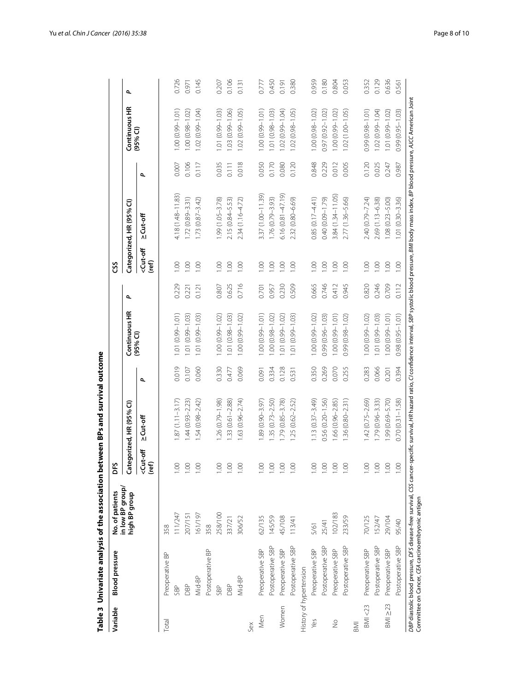| Variable          | <b>Blood</b> pressure                             | No. of patients                                                                                                                                                                                                          | DFS                            |                          |       |                     |       | SS                             |                          |       |                     |       |
|-------------------|---------------------------------------------------|--------------------------------------------------------------------------------------------------------------------------------------------------------------------------------------------------------------------------|--------------------------------|--------------------------|-------|---------------------|-------|--------------------------------|--------------------------|-------|---------------------|-------|
|                   |                                                   | in low BP group/<br>high BP group                                                                                                                                                                                        |                                | Categorized, HR (95% CI) |       | Continuous HR       | ٩     |                                | Categorized, HR (95% Cl) |       | Continuous HR       | ٩     |
|                   |                                                   |                                                                                                                                                                                                                          | <cut-off<br>(ref)</cut-off<br> | $2$ Cut-off              | ٩     | (95% <sup>2</sup> ) |       | <cut-off<br>(ref)</cut-off<br> | $2$ Cut-off              | ٩     | $(95%$ CI)          |       |
| Total             | Preoperative BP                                   | 358                                                                                                                                                                                                                      |                                |                          |       |                     |       |                                |                          |       |                     |       |
|                   | SBP                                               | 11/247                                                                                                                                                                                                                   | 001                            | $.87(1.11 - 3.17)$       | 0.019 | $.01(0.99 - 1.01)$  | 0.229 | $\frac{8}{100}$                | $4.18(1.48 - 11.83)$     | 0.007 | $1.00(0.99 - 1.01)$ | 0.726 |
|                   | DBP                                               | 207/15                                                                                                                                                                                                                   | 1.00                           | $1.44(0.93 - 2.23)$      | 0.107 | $.01(0.99 - 1.03)$  | 0.221 | 00.1                           | $1.72(0.89 - 3.31)$      | 0.106 | $1.00(0.98 - 1.02)$ | 0.971 |
|                   | Mid-BP                                            | 161/197                                                                                                                                                                                                                  | 1.00                           | $1.54(0.98 - 2.42)$      | 0.060 | $1.01(0.99 - 1.03)$ | 0.121 | 00.1                           | $1.73(0.87 - 3.42)$      | 0.117 | 1.02 (0.99-1.04)    | 0.145 |
|                   | Postoperative BP                                  | 358                                                                                                                                                                                                                      |                                |                          |       |                     |       |                                |                          |       |                     |       |
|                   | SBP                                               | 258/100                                                                                                                                                                                                                  | 1.00                           | $1.26(0.79 - 1.98)$      | 0.330 | $.00(0.99 - 1.02)$  | 0.807 | 00.1                           | $1.99(1.05 - 3.78)$      | 0.035 | $1.01(0.99 - 1.03)$ | 0.207 |
|                   | DBP                                               | 337/21                                                                                                                                                                                                                   | 1.00                           | 1.33 (0.61-2.88)         | 0.477 | $.01(0.98 - 1.03)$  | 0.625 | 00.1                           | $2.15(0.84 - 5.53)$      | 0.111 | $1.03(0.99 - 1.06)$ | 0.106 |
|                   | Mid-BP                                            | 306/52                                                                                                                                                                                                                   | 1.00                           | 1.63 (0.96-2.74)         | 0.069 | $(50.1 - 66.0)$ 0.0 | 0.716 | 00.1                           | 2.34 (1.16-4.72)         | 0.018 | $1.02(0.99 - 1.05)$ | 0.131 |
| Sex               |                                                   |                                                                                                                                                                                                                          |                                |                          |       |                     |       |                                |                          |       |                     |       |
| Men               | Preoperative SBP                                  | 62/135                                                                                                                                                                                                                   | 1.00                           | $1.89(0.90 - 3.97)$      | 0.091 | $1.00(0.99 - 1.01)$ | 0.701 | 00.1                           | 3.37 (1.00-11.39)        | 0.050 | $1.00(0.99 - 1.01)$ | 0.777 |
|                   | Postoperative SBP                                 | 145/59                                                                                                                                                                                                                   | 1.00                           | $.35(0.73 - 2.50)$       | 0.334 | $.00(0.98 - 1.02)$  | 0.957 | $\overline{0}$                 | 1.76 (0.79-3.93)         | 0.170 | $1.01(0.98 - 1.03)$ | 0.450 |
| Women             | Preoperative SBP                                  | 45/108                                                                                                                                                                                                                   | 1.00                           | 1.79 (0.85-3.78)         | 0.128 | $.01(0.99 - 1.02)$  | 0.230 | 00.1                           | $6.16(0.81 - 47.19)$     | 0.080 | $1.02(0.99 - 1.04)$ | 0.191 |
|                   | Postoperative SBP                                 | 113/41                                                                                                                                                                                                                   | 1.00                           | 1.25 (0.62-2.52)         | 0.531 | $.01(0.99 - 1.03)$  | 0.509 | 1.00                           | 2.32 (0.80-6.69)         | 0.120 | $1.02(0.98 - 1.05)$ | 0.380 |
|                   | History of hypertension                           |                                                                                                                                                                                                                          |                                |                          |       |                     |       |                                |                          |       |                     |       |
| Yes               | Preoperative SBP                                  | 5/61                                                                                                                                                                                                                     | 1.00                           | $1.13(0.37 - 3.49)$      | 0.350 | $1.00(0.99 - 1.02)$ | 0.665 | 001                            | $0.85(0.17 - 4.41)$      | 0.848 | $1.00(0.98 - 1.02)$ | 0.959 |
|                   | Postoperative SBP                                 | 25/41                                                                                                                                                                                                                    | 1.00                           | $0.56(0.20 - 1.56)$      | 0.269 | 0.99 (0.96-1.03)    | 0.746 | 00.1                           | 0.40 (0.09-1.79)         | 0.229 | $0.97(0.92 - 1.02)$ | 0.180 |
| $\frac{1}{2}$     | Preoperative SBP                                  | 02/183                                                                                                                                                                                                                   | 1.00                           | 1.66 (0.96-2.85)         | 0.070 | $1.00(0.99 - 1.01)$ | 0.412 | 00.1                           | 3.84 (1.34-11.05)        | 0.012 | $1.00(0.99 - 1.02)$ | 0.804 |
|                   | Postoperative SBP                                 | 233/59                                                                                                                                                                                                                   | 1.00                           | $1.36(0.80 - 2.31)$      | 0.255 | 0.99 (0.98-1.02)    | 0.945 | 00.1                           | 2.77 (1.36-5.66)         | 0.005 | $1.02(1.00 - 1.05)$ | 0.053 |
| BMI               |                                                   |                                                                                                                                                                                                                          |                                |                          |       |                     |       |                                |                          |       |                     |       |
| <b>BMI &lt;23</b> | Preoperative SBP                                  | 70/125                                                                                                                                                                                                                   | 00.1                           | $1.42(0.75 - 2.69)$      | 0.283 | $.00(0.99 - 1.02)$  | 0.820 | 00.1                           | 2.40 (0.79-7.24)         | 0.120 | $0.99(0.98 - 1.01)$ | 0.352 |
|                   | Postoperative SBP                                 | 152/47                                                                                                                                                                                                                   | 1.00                           | $1.79(0.96 - 3.33)$      | 0.066 | $.01(0.99 - 1.03)$  | 0.246 | $\frac{8}{1}$                  | 2.69 (1.13-6.38)         | 0.025 | $1.02(0.99 - 1.04)$ | 0.129 |
| $BM \geq 23$      | Preoperative SBP                                  | 29/104                                                                                                                                                                                                                   | 1.00                           | 1.99 (0.69-5.70)         | 0.201 | $1.00(0.99 - 1.01)$ | 0.709 | 00.1                           | $1.08(0.23 - 5.00)$      | 0.247 | $1.01(0.99 - 1.02)$ | 0.636 |
|                   | Postoperative SBP                                 | 95/40                                                                                                                                                                                                                    | 1.00                           | $0.70(0.31 - 1.58)$      | 0.394 | $0.98(0.95 - 1.01)$ | 0.112 | 00.1                           | $.01(0.30 - 3.36)$       | 0.987 | $0.99(0.95 - 1.03)$ | 0.561 |
|                   | Committee on Cancer, CEA carcinoembryonic antigen | DBP diastolic blood pressure, DFS disease-free survival, CSS cancer-specific survival, HR hazard ratio, CI confidence interval, SBP systolic blood pressure, BMI body mass index, BP blood pressure, AJCC American Joint |                                |                          |       |                     |       |                                |                          |       |                     |       |

<span id="page-7-0"></span>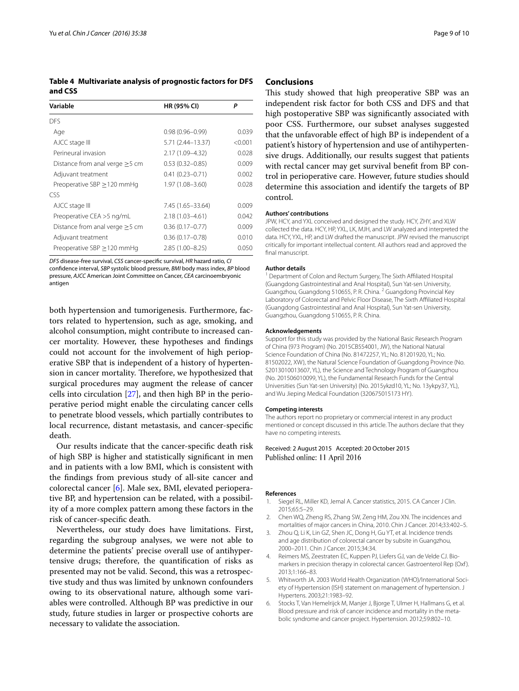<span id="page-8-6"></span>**Table 4 Multivariate analysis of prognostic factors for DFS and CSS**

| Variable                             | HR (95% CI)         | Ρ       |
|--------------------------------------|---------------------|---------|
| <b>DES</b>                           |                     |         |
| Age                                  | $0.98(0.96 - 0.99)$ | 0.039   |
| AJCC stage III                       | 5.71 (2.44–13.37)   | < 0.001 |
| Perineural invasion                  | 2.17 (1.09–4.32)    | 0.028   |
| Distance from anal verge $\geq$ 5 cm | $0.53(0.32 - 0.85)$ | 0.009   |
| Adjuvant treatment                   | $0.41(0.23 - 0.71)$ | 0.002   |
| Preoperative SBP > 120 mmHg          | 1.97 (1.08-3.60)    | 0.028   |
| CSS                                  |                     |         |
| AJCC stage III                       | 7.45 (1.65-33.64)   | 0.009   |
| Preoperative CEA >5 ng/mL            | $2.18(1.03 - 4.61)$ | 0.042   |
| Distance from anal verge $\geq$ 5 cm | $0.36(0.17 - 0.77)$ | 0.009   |
| Adjuvant treatment                   | $0.36(0.17 - 0.78)$ | 0.010   |
| Preoperative SBP $\geq$ 120 mmHg     | 2.85 (1.00-8.25)    | 0.050   |

*DFS* disease-free survival, *CSS* cancer-specific survival, *HR* hazard ratio, *CI*

confidence interval, *SBP* systolic blood pressure, *BMI* body mass index, *BP* blood pressure, *AJCC* American Joint Committee on Cancer, *CEA* carcinoembryonic antigen

both hypertension and tumorigenesis. Furthermore, factors related to hypertension, such as age, smoking, and alcohol consumption, might contribute to increased cancer mortality. However, these hypotheses and findings could not account for the involvement of high perioperative SBP that is independent of a history of hypertension in cancer mortality. Therefore, we hypothesized that surgical procedures may augment the release of cancer cells into circulation [\[27](#page-9-18)], and then high BP in the perioperative period might enable the circulating cancer cells to penetrate blood vessels, which partially contributes to local recurrence, distant metastasis, and cancer-specific death.

Our results indicate that the cancer-specific death risk of high SBP is higher and statistically significant in men and in patients with a low BMI, which is consistent with the findings from previous study of all-site cancer and colorectal cancer [[6\]](#page-8-5). Male sex, BMI, elevated perioperative BP, and hypertension can be related, with a possibility of a more complex pattern among these factors in the risk of cancer-specific death.

Nevertheless, our study does have limitations. First, regarding the subgroup analyses, we were not able to determine the patients' precise overall use of antihypertensive drugs; therefore, the quantification of risks as presented may not be valid. Second, this was a retrospective study and thus was limited by unknown confounders owing to its observational nature, although some variables were controlled. Although BP was predictive in our study, future studies in larger or prospective cohorts are necessary to validate the association.

#### **Conclusions**

This study showed that high preoperative SBP was an independent risk factor for both CSS and DFS and that high postoperative SBP was significantly associated with poor CSS. Furthermore, our subset analyses suggested that the unfavorable effect of high BP is independent of a patient's history of hypertension and use of antihypertensive drugs. Additionally, our results suggest that patients with rectal cancer may get survival benefit from BP control in perioperative care. However, future studies should determine this association and identify the targets of BP control.

#### **Authors' contributions**

JPW, HCY, and YXL conceived and designed the study. HCY, ZHY, and XLW collected the data. HCY, HP, YXL, LK, MJH, and LW analyzed and interpreted the data. HCY, YXL, HP, and LW drafted the manuscript. JPW revised the manuscript critically for important intellectual content. All authors read and approved the final manuscript.

#### **Author details**

<sup>1</sup> Department of Colon and Rectum Surgery, The Sixth Affiliated Hospital (Guangdong Gastrointestinal and Anal Hospital), Sun Yat-sen University, Guangzhou, Guangdong 510655, P. R. China. <sup>2</sup> Guangdong Provincial Key Laboratory of Colorectal and Pelvic Floor Disease, The Sixth Affiliated Hospital (Guangdong Gastrointestinal and Anal Hospital), Sun Yat-sen University, Guangzhou, Guangdong 510655, P. R. China.

#### **Acknowledgements**

Support for this study was provided by the National Basic Research Program of China (973 Program) (No. 2015CB554001, JW), the National Natural Science Foundation of China (No. 81472257, YL; No. 81201920, YL; No. 81502022, XW), the Natural Science Foundation of Guangdong Province (No. S2013010013607, YL), the Science and Technology Program of Guangzhou (No. 201506010099, YL), the Fundamental Research Funds for the Central Universities (Sun Yat-sen University) (No. 2015ykzd10, YL; No. 13ykpy37, YL), and Wu Jieping Medical Foundation (320675015173 HY).

#### **Competing interests**

The authors report no proprietary or commercial interest in any product mentioned or concept discussed in this article. The authors declare that they have no competing interests.

#### Received: 2 August 2015 Accepted: 20 October 2015 Published online: 11 April 2016

#### **References**

- <span id="page-8-0"></span>Siegel RL, Miller KD, Jemal A. Cancer statistics, 2015. CA Cancer J Clin. 2015;65:5–29.
- <span id="page-8-1"></span>2. Chen WQ, Zheng RS, Zhang SW, Zeng HM, Zou XN. The incidences and mortalities of major cancers in China, 2010. Chin J Cancer. 2014;33:402–5.
- <span id="page-8-2"></span>3. Zhou Q, Li K, Lin GZ, Shen JC, Dong H, Gu YT, et al. Incidence trends and age distribution of colorectal cancer by subsite in Guangzhou, 2000–2011. Chin J Cancer. 2015;34:34.
- <span id="page-8-3"></span>4. Reimers MS, Zeestraten EC, Kuppen PJ, Liefers GJ, van de Velde CJ. Biomarkers in precision therapy in colorectal cancer. Gastroenterol Rep (Oxf ). 2013;1:166–83.
- <span id="page-8-4"></span>5. Whitworth JA. 2003 World Health Organization (WHO)/International Society of Hypertension (ISH) statement on management of hypertension. J Hypertens. 2003;21:1983–92.
- <span id="page-8-5"></span>6. Stocks T, Van Hemelrijck M, Manjer J, Bjorge T, Ulmer H, Hallmans G, et al. Blood pressure and risk of cancer incidence and mortality in the metabolic syndrome and cancer project. Hypertension. 2012;59:802–10.